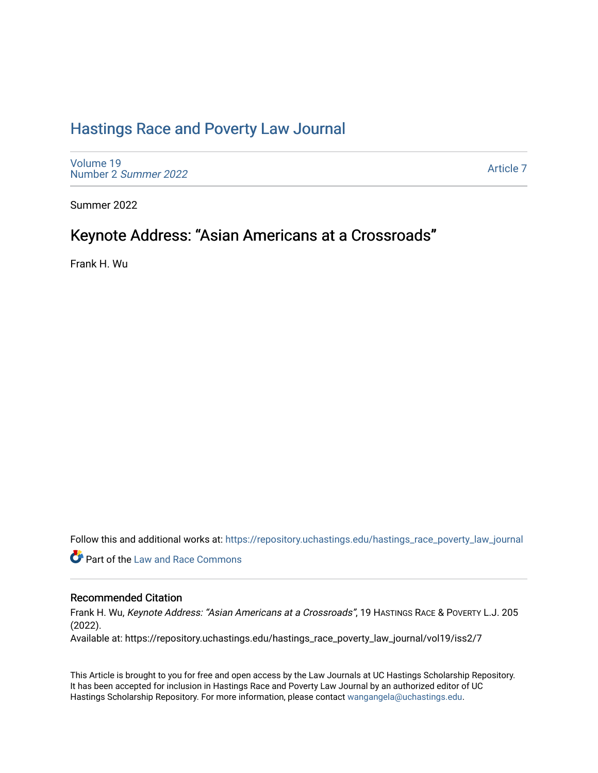## [Hastings Race and Poverty Law Journal](https://repository.uchastings.edu/hastings_race_poverty_law_journal)

[Volume 19](https://repository.uchastings.edu/hastings_race_poverty_law_journal/vol19) [Number 2](https://repository.uchastings.edu/hastings_race_poverty_law_journal/vol19/iss2) Summer 2022

[Article 7](https://repository.uchastings.edu/hastings_race_poverty_law_journal/vol19/iss2/7) 

Summer 2022

## Keynote Address: "Asian Americans at a Crossroads"

Frank H. Wu

Follow this and additional works at: [https://repository.uchastings.edu/hastings\\_race\\_poverty\\_law\\_journal](https://repository.uchastings.edu/hastings_race_poverty_law_journal?utm_source=repository.uchastings.edu%2Fhastings_race_poverty_law_journal%2Fvol19%2Fiss2%2F7&utm_medium=PDF&utm_campaign=PDFCoverPages) 

**C** Part of the Law and Race Commons

#### Recommended Citation

Frank H. Wu, Keynote Address: "Asian Americans at a Crossroads", 19 HASTINGS RACE & POVERTY L.J. 205 (2022).

Available at: https://repository.uchastings.edu/hastings\_race\_poverty\_law\_journal/vol19/iss2/7

This Article is brought to you for free and open access by the Law Journals at UC Hastings Scholarship Repository. It has been accepted for inclusion in Hastings Race and Poverty Law Journal by an authorized editor of UC Hastings Scholarship Repository. For more information, please contact [wangangela@uchastings.edu.](mailto:wangangela@uchastings.edu)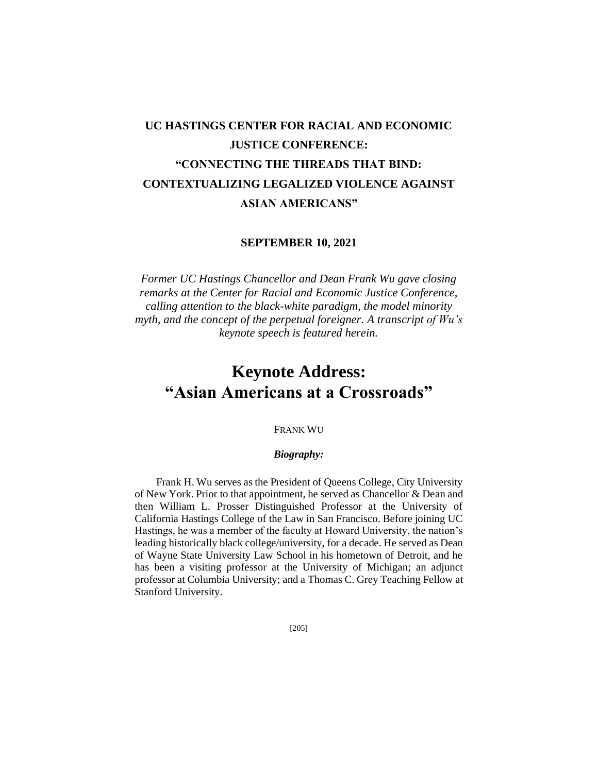# **UC HASTINGS CENTER FOR RACIAL AND ECONOMIC JUSTICE CONFERENCE: "CONNECTING THE THREADS THAT BIND: CONTEXTUALIZING LEGALIZED VIOLENCE AGAINST ASIAN AMERICANS"**

#### **SEPTEMBER 10, 2021**

*Former UC Hastings Chancellor and Dean Frank Wu gave closing remarks at the Center for Racial and Economic Justice Conference, calling attention to the black-white paradigm, the model minority myth, and the concept of the perpetual foreigner. A transcript of Wu's keynote speech is featured herein.* 

# **Keynote Address: "Asian Americans at a Crossroads"**

### FRANK WU

#### *Biography:*

Frank H. Wu serves as the President of Queens College, City University of New York. Prior to that appointment, he served as Chancellor & Dean and then William L. Prosser Distinguished Professor at the University of California Hastings College of the Law in San Francisco. Before joining UC Hastings, he was a member of the faculty at Howard University, the nation's leading historically black college/university, for a decade. He served as Dean of Wayne State University Law School in his hometown of Detroit, and he has been a visiting professor at the University of Michigan; an adjunct professor at Columbia University; and a Thomas C. Grey Teaching Fellow at Stanford University.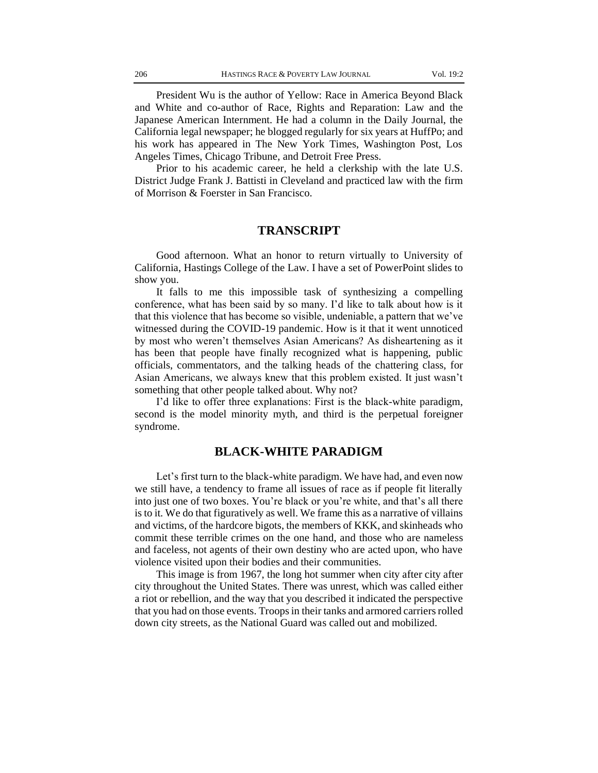President Wu is the author of Yellow: Race in America Beyond Black and White and co-author of Race, Rights and Reparation: Law and the Japanese American Internment. He had a column in the Daily Journal, the California legal newspaper; he blogged regularly for six years at HuffPo; and his work has appeared in The New York Times, Washington Post, Los Angeles Times, Chicago Tribune, and Detroit Free Press.

Prior to his academic career, he held a clerkship with the late U.S. District Judge Frank J. Battisti in Cleveland and practiced law with the firm of Morrison & Foerster in San Francisco.

#### **TRANSCRIPT**

Good afternoon. What an honor to return virtually to University of California, Hastings College of the Law. I have a set of PowerPoint slides to show you.

It falls to me this impossible task of synthesizing a compelling conference, what has been said by so many. I'd like to talk about how is it that this violence that has become so visible, undeniable, a pattern that we've witnessed during the COVID-19 pandemic. How is it that it went unnoticed by most who weren't themselves Asian Americans? As disheartening as it has been that people have finally recognized what is happening, public officials, commentators, and the talking heads of the chattering class, for Asian Americans, we always knew that this problem existed. It just wasn't something that other people talked about. Why not?

I'd like to offer three explanations: First is the black-white paradigm, second is the model minority myth, and third is the perpetual foreigner syndrome.

## **BLACK-WHITE PARADIGM**

Let's first turn to the black-white paradigm. We have had, and even now we still have, a tendency to frame all issues of race as if people fit literally into just one of two boxes. You're black or you're white, and that's all there is to it. We do that figuratively as well. We frame this as a narrative of villains and victims, of the hardcore bigots, the members of KKK, and skinheads who commit these terrible crimes on the one hand, and those who are nameless and faceless, not agents of their own destiny who are acted upon, who have violence visited upon their bodies and their communities.

This image is from 1967, the long hot summer when city after city after city throughout the United States. There was unrest, which was called either a riot or rebellion, and the way that you described it indicated the perspective that you had on those events. Troops in their tanks and armored carriers rolled down city streets, as the National Guard was called out and mobilized.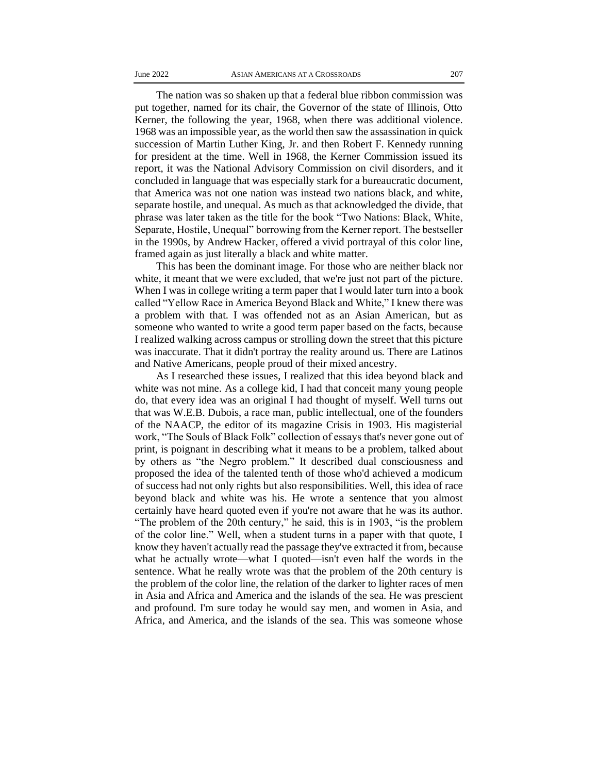The nation was so shaken up that a federal blue ribbon commission was put together, named for its chair, the Governor of the state of Illinois, Otto Kerner, the following the year, 1968, when there was additional violence. 1968 was an impossible year, as the world then saw the assassination in quick succession of Martin Luther King, Jr. and then Robert F. Kennedy running for president at the time. Well in 1968, the Kerner Commission issued its report, it was the National Advisory Commission on civil disorders, and it concluded in language that was especially stark for a bureaucratic document, that America was not one nation was instead two nations black, and white, separate hostile, and unequal. As much as that acknowledged the divide, that phrase was later taken as the title for the book "Two Nations: Black, White, Separate, Hostile, Unequal" borrowing from the Kerner report. The bestseller in the 1990s, by Andrew Hacker, offered a vivid portrayal of this color line, framed again as just literally a black and white matter.

This has been the dominant image. For those who are neither black nor white, it meant that we were excluded, that we're just not part of the picture. When I was in college writing a term paper that I would later turn into a book called "Yellow Race in America Beyond Black and White," I knew there was a problem with that. I was offended not as an Asian American, but as someone who wanted to write a good term paper based on the facts, because I realized walking across campus or strolling down the street that this picture was inaccurate. That it didn't portray the reality around us. There are Latinos and Native Americans, people proud of their mixed ancestry.

As I researched these issues, I realized that this idea beyond black and white was not mine. As a college kid, I had that conceit many young people do, that every idea was an original I had thought of myself. Well turns out that was W.E.B. Dubois, a race man, public intellectual, one of the founders of the NAACP, the editor of its magazine Crisis in 1903. His magisterial work, "The Souls of Black Folk" collection of essays that's never gone out of print, is poignant in describing what it means to be a problem, talked about by others as "the Negro problem." It described dual consciousness and proposed the idea of the talented tenth of those who'd achieved a modicum of success had not only rights but also responsibilities. Well, this idea of race beyond black and white was his. He wrote a sentence that you almost certainly have heard quoted even if you're not aware that he was its author. "The problem of the 20th century," he said, this is in 1903, "is the problem of the color line." Well, when a student turns in a paper with that quote, I know they haven't actually read the passage they've extracted it from, because what he actually wrote—what I quoted—isn't even half the words in the sentence. What he really wrote was that the problem of the 20th century is the problem of the color line, the relation of the darker to lighter races of men in Asia and Africa and America and the islands of the sea. He was prescient and profound. I'm sure today he would say men, and women in Asia, and Africa, and America, and the islands of the sea. This was someone whose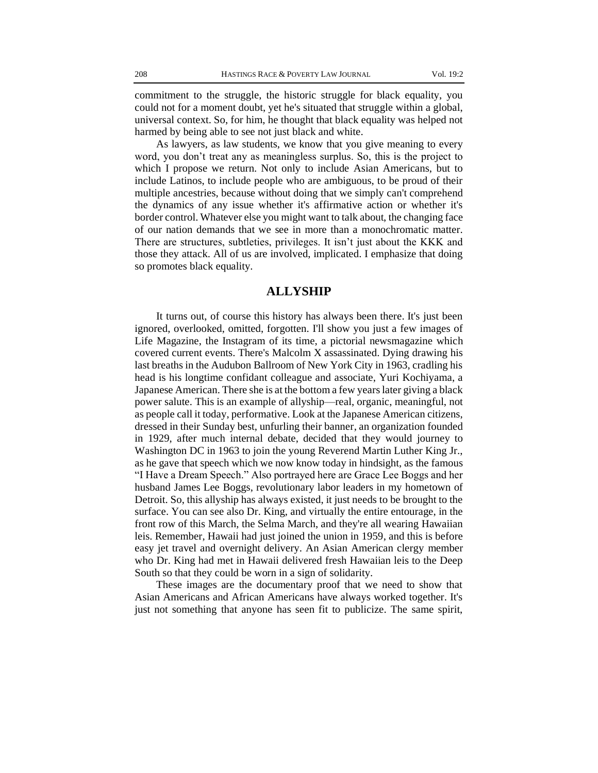commitment to the struggle, the historic struggle for black equality, you could not for a moment doubt, yet he's situated that struggle within a global, universal context. So, for him, he thought that black equality was helped not harmed by being able to see not just black and white.

As lawyers, as law students, we know that you give meaning to every word, you don't treat any as meaningless surplus. So, this is the project to which I propose we return. Not only to include Asian Americans, but to include Latinos, to include people who are ambiguous, to be proud of their multiple ancestries, because without doing that we simply can't comprehend the dynamics of any issue whether it's affirmative action or whether it's border control. Whatever else you might want to talk about, the changing face of our nation demands that we see in more than a monochromatic matter. There are structures, subtleties, privileges. It isn't just about the KKK and those they attack. All of us are involved, implicated. I emphasize that doing so promotes black equality.

## **ALLYSHIP**

It turns out, of course this history has always been there. It's just been ignored, overlooked, omitted, forgotten. I'll show you just a few images of Life Magazine, the Instagram of its time, a pictorial newsmagazine which covered current events. There's Malcolm X assassinated. Dying drawing his last breaths in the Audubon Ballroom of New York City in 1963, cradling his head is his longtime confidant colleague and associate, Yuri Kochiyama, a Japanese American. There she is at the bottom a few years later giving a black power salute. This is an example of allyship—real, organic, meaningful, not as people call it today, performative. Look at the Japanese American citizens, dressed in their Sunday best, unfurling their banner, an organization founded in 1929, after much internal debate, decided that they would journey to Washington DC in 1963 to join the young Reverend Martin Luther King Jr., as he gave that speech which we now know today in hindsight, as the famous "I Have a Dream Speech." Also portrayed here are Grace Lee Boggs and her husband James Lee Boggs, revolutionary labor leaders in my hometown of Detroit. So, this allyship has always existed, it just needs to be brought to the surface. You can see also Dr. King, and virtually the entire entourage, in the front row of this March, the Selma March, and they're all wearing Hawaiian leis. Remember, Hawaii had just joined the union in 1959, and this is before easy jet travel and overnight delivery. An Asian American clergy member who Dr. King had met in Hawaii delivered fresh Hawaiian leis to the Deep South so that they could be worn in a sign of solidarity.

These images are the documentary proof that we need to show that Asian Americans and African Americans have always worked together. It's just not something that anyone has seen fit to publicize. The same spirit,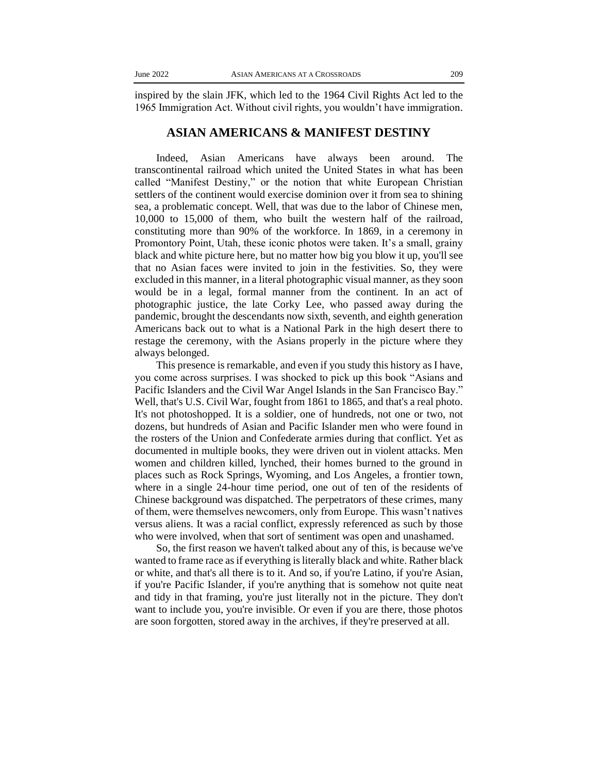inspired by the slain JFK, which led to the 1964 Civil Rights Act led to the 1965 Immigration Act. Without civil rights, you wouldn't have immigration.

#### **ASIAN AMERICANS & MANIFEST DESTINY**

Indeed, Asian Americans have always been around. The transcontinental railroad which united the United States in what has been called "Manifest Destiny," or the notion that white European Christian settlers of the continent would exercise dominion over it from sea to shining sea, a problematic concept. Well, that was due to the labor of Chinese men, 10,000 to 15,000 of them, who built the western half of the railroad, constituting more than 90% of the workforce. In 1869, in a ceremony in Promontory Point, Utah, these iconic photos were taken. It's a small, grainy black and white picture here, but no matter how big you blow it up, you'll see that no Asian faces were invited to join in the festivities. So, they were excluded in this manner, in a literal photographic visual manner, as they soon would be in a legal, formal manner from the continent. In an act of photographic justice, the late Corky Lee, who passed away during the pandemic, brought the descendants now sixth, seventh, and eighth generation Americans back out to what is a National Park in the high desert there to restage the ceremony, with the Asians properly in the picture where they always belonged.

This presence is remarkable, and even if you study this history as I have, you come across surprises. I was shocked to pick up this book "Asians and Pacific Islanders and the Civil War Angel Islands in the San Francisco Bay." Well, that's U.S. Civil War, fought from 1861 to 1865, and that's a real photo. It's not photoshopped. It is a soldier, one of hundreds, not one or two, not dozens, but hundreds of Asian and Pacific Islander men who were found in the rosters of the Union and Confederate armies during that conflict. Yet as documented in multiple books, they were driven out in violent attacks. Men women and children killed, lynched, their homes burned to the ground in places such as Rock Springs, Wyoming, and Los Angeles, a frontier town, where in a single 24-hour time period, one out of ten of the residents of Chinese background was dispatched. The perpetrators of these crimes, many of them, were themselves newcomers, only from Europe. This wasn't natives versus aliens. It was a racial conflict, expressly referenced as such by those who were involved, when that sort of sentiment was open and unashamed.

So, the first reason we haven't talked about any of this, is because we've wanted to frame race as if everything is literally black and white. Rather black or white, and that's all there is to it. And so, if you're Latino, if you're Asian, if you're Pacific Islander, if you're anything that is somehow not quite neat and tidy in that framing, you're just literally not in the picture. They don't want to include you, you're invisible. Or even if you are there, those photos are soon forgotten, stored away in the archives, if they're preserved at all.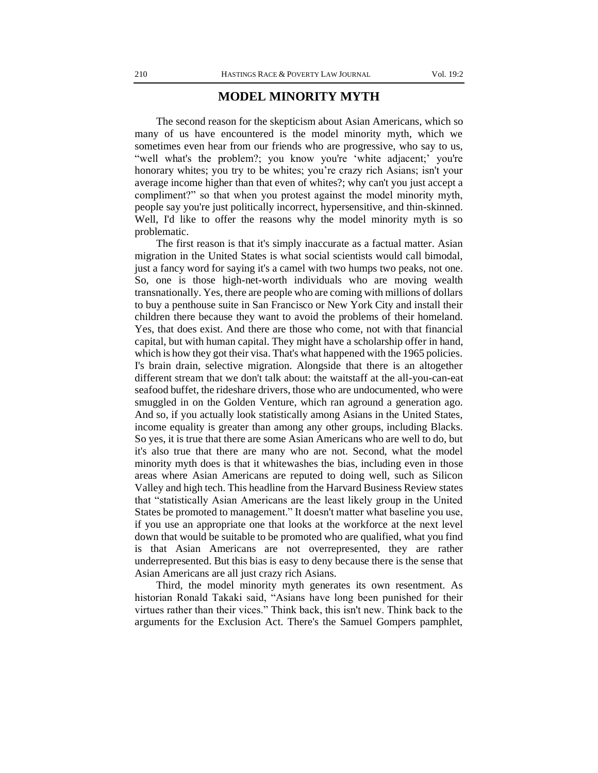## **MODEL MINORITY MYTH**

The second reason for the skepticism about Asian Americans, which so many of us have encountered is the model minority myth, which we sometimes even hear from our friends who are progressive, who say to us, "well what's the problem?; you know you're 'white adjacent;' you're honorary whites; you try to be whites; you're crazy rich Asians; isn't your average income higher than that even of whites?; why can't you just accept a compliment?" so that when you protest against the model minority myth, people say you're just politically incorrect, hypersensitive, and thin-skinned. Well, I'd like to offer the reasons why the model minority myth is so problematic.

The first reason is that it's simply inaccurate as a factual matter. Asian migration in the United States is what social scientists would call bimodal, just a fancy word for saying it's a camel with two humps two peaks, not one. So, one is those high-net-worth individuals who are moving wealth transnationally. Yes, there are people who are coming with millions of dollars to buy a penthouse suite in San Francisco or New York City and install their children there because they want to avoid the problems of their homeland. Yes, that does exist. And there are those who come, not with that financial capital, but with human capital. They might have a scholarship offer in hand, which is how they got their visa. That's what happened with the 1965 policies. I's brain drain, selective migration. Alongside that there is an altogether different stream that we don't talk about: the waitstaff at the all-you-can-eat seafood buffet, the rideshare drivers, those who are undocumented, who were smuggled in on the Golden Venture, which ran aground a generation ago. And so, if you actually look statistically among Asians in the United States, income equality is greater than among any other groups, including Blacks. So yes, it is true that there are some Asian Americans who are well to do, but it's also true that there are many who are not. Second, what the model minority myth does is that it whitewashes the bias, including even in those areas where Asian Americans are reputed to doing well, such as Silicon Valley and high tech. This headline from the Harvard Business Review states that "statistically Asian Americans are the least likely group in the United States be promoted to management." It doesn't matter what baseline you use, if you use an appropriate one that looks at the workforce at the next level down that would be suitable to be promoted who are qualified, what you find is that Asian Americans are not overrepresented, they are rather underrepresented. But this bias is easy to deny because there is the sense that Asian Americans are all just crazy rich Asians.

Third, the model minority myth generates its own resentment. As historian Ronald Takaki said, "Asians have long been punished for their virtues rather than their vices." Think back, this isn't new. Think back to the arguments for the Exclusion Act. There's the Samuel Gompers pamphlet,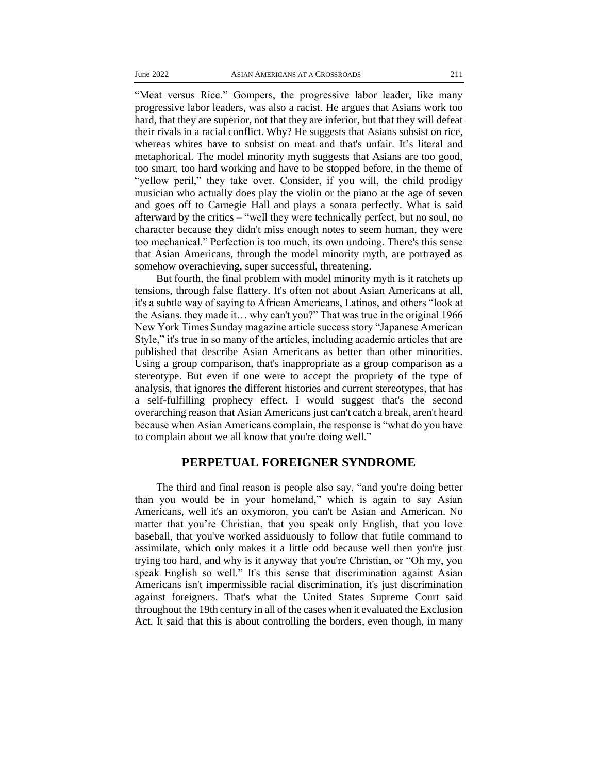"Meat versus Rice." Gompers, the progressive labor leader, like many progressive labor leaders, was also a racist. He argues that Asians work too hard, that they are superior, not that they are inferior, but that they will defeat their rivals in a racial conflict. Why? He suggests that Asians subsist on rice, whereas whites have to subsist on meat and that's unfair. It's literal and metaphorical. The model minority myth suggests that Asians are too good, too smart, too hard working and have to be stopped before, in the theme of "yellow peril," they take over. Consider, if you will, the child prodigy musician who actually does play the violin or the piano at the age of seven and goes off to Carnegie Hall and plays a sonata perfectly. What is said afterward by the critics – "well they were technically perfect, but no soul, no character because they didn't miss enough notes to seem human, they were too mechanical." Perfection is too much, its own undoing. There's this sense that Asian Americans, through the model minority myth, are portrayed as somehow overachieving, super successful, threatening.

But fourth, the final problem with model minority myth is it ratchets up tensions, through false flattery. It's often not about Asian Americans at all, it's a subtle way of saying to African Americans, Latinos, and others "look at the Asians, they made it… why can't you?" That was true in the original 1966 New York Times Sunday magazine article success story "Japanese American Style," it's true in so many of the articles, including academic articles that are published that describe Asian Americans as better than other minorities. Using a group comparison, that's inappropriate as a group comparison as a stereotype. But even if one were to accept the propriety of the type of analysis, that ignores the different histories and current stereotypes, that has a self-fulfilling prophecy effect. I would suggest that's the second overarching reason that Asian Americans just can't catch a break, aren't heard because when Asian Americans complain, the response is "what do you have to complain about we all know that you're doing well."

## **PERPETUAL FOREIGNER SYNDROME**

The third and final reason is people also say, "and you're doing better than you would be in your homeland," which is again to say Asian Americans, well it's an oxymoron, you can't be Asian and American. No matter that you're Christian, that you speak only English, that you love baseball, that you've worked assiduously to follow that futile command to assimilate, which only makes it a little odd because well then you're just trying too hard, and why is it anyway that you're Christian, or "Oh my, you speak English so well." It's this sense that discrimination against Asian Americans isn't impermissible racial discrimination, it's just discrimination against foreigners. That's what the United States Supreme Court said throughout the 19th century in all of the cases when it evaluated the Exclusion Act. It said that this is about controlling the borders, even though, in many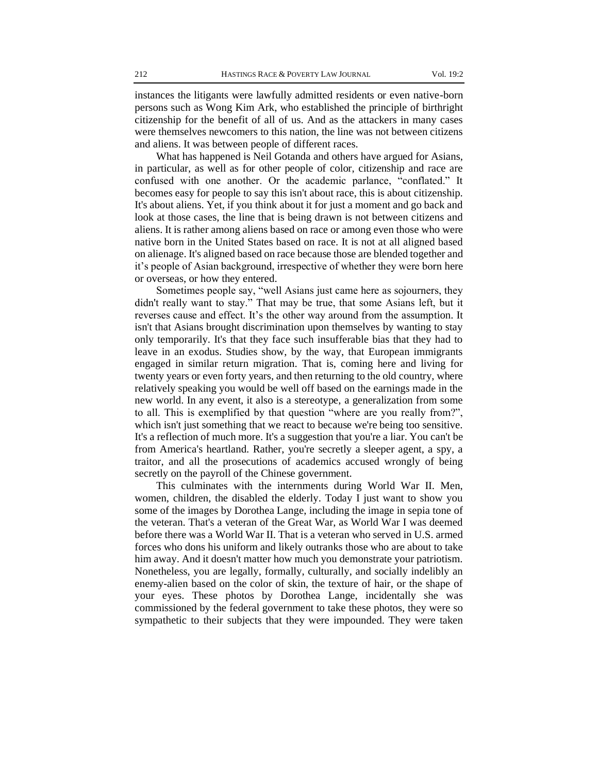instances the litigants were lawfully admitted residents or even native-born persons such as Wong Kim Ark, who established the principle of birthright citizenship for the benefit of all of us. And as the attackers in many cases were themselves newcomers to this nation, the line was not between citizens and aliens. It was between people of different races.

What has happened is Neil Gotanda and others have argued for Asians, in particular, as well as for other people of color, citizenship and race are confused with one another. Or the academic parlance, "conflated." It becomes easy for people to say this isn't about race, this is about citizenship. It's about aliens. Yet, if you think about it for just a moment and go back and look at those cases, the line that is being drawn is not between citizens and aliens. It is rather among aliens based on race or among even those who were native born in the United States based on race. It is not at all aligned based on alienage. It's aligned based on race because those are blended together and it's people of Asian background, irrespective of whether they were born here or overseas, or how they entered.

Sometimes people say, "well Asians just came here as sojourners, they didn't really want to stay." That may be true, that some Asians left, but it reverses cause and effect. It's the other way around from the assumption. It isn't that Asians brought discrimination upon themselves by wanting to stay only temporarily. It's that they face such insufferable bias that they had to leave in an exodus. Studies show, by the way, that European immigrants engaged in similar return migration. That is, coming here and living for twenty years or even forty years, and then returning to the old country, where relatively speaking you would be well off based on the earnings made in the new world. In any event, it also is a stereotype, a generalization from some to all. This is exemplified by that question "where are you really from?", which isn't just something that we react to because we're being too sensitive. It's a reflection of much more. It's a suggestion that you're a liar. You can't be from America's heartland. Rather, you're secretly a sleeper agent, a spy, a traitor, and all the prosecutions of academics accused wrongly of being secretly on the payroll of the Chinese government.

This culminates with the internments during World War II. Men, women, children, the disabled the elderly. Today I just want to show you some of the images by Dorothea Lange, including the image in sepia tone of the veteran. That's a veteran of the Great War, as World War I was deemed before there was a World War II. That is a veteran who served in U.S. armed forces who dons his uniform and likely outranks those who are about to take him away. And it doesn't matter how much you demonstrate your patriotism. Nonetheless, you are legally, formally, culturally, and socially indelibly an enemy-alien based on the color of skin, the texture of hair, or the shape of your eyes. These photos by Dorothea Lange, incidentally she was commissioned by the federal government to take these photos, they were so sympathetic to their subjects that they were impounded. They were taken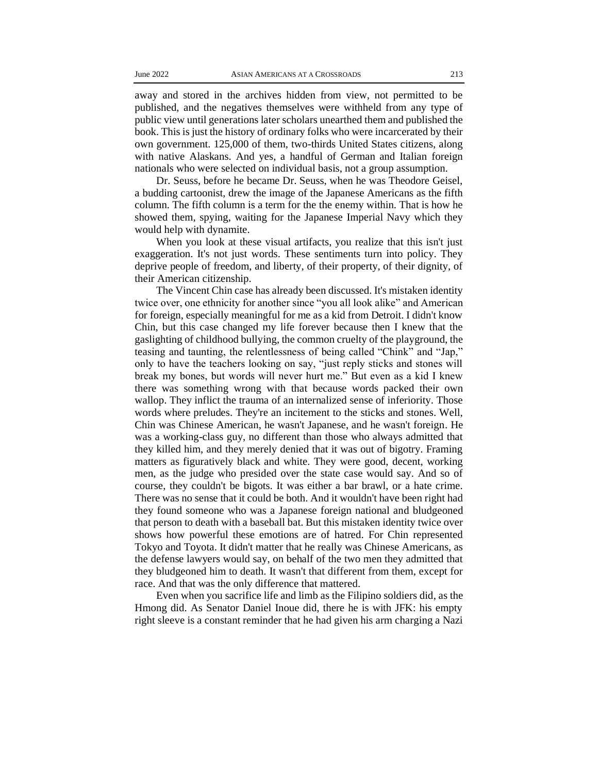away and stored in the archives hidden from view, not permitted to be published, and the negatives themselves were withheld from any type of public view until generations later scholars unearthed them and published the book. This is just the history of ordinary folks who were incarcerated by their own government. 125,000 of them, two-thirds United States citizens, along with native Alaskans. And yes, a handful of German and Italian foreign nationals who were selected on individual basis, not a group assumption.

Dr. Seuss, before he became Dr. Seuss, when he was Theodore Geisel, a budding cartoonist, drew the image of the Japanese Americans as the fifth column. The fifth column is a term for the the enemy within. That is how he showed them, spying, waiting for the Japanese Imperial Navy which they would help with dynamite.

When you look at these visual artifacts, you realize that this isn't just exaggeration. It's not just words. These sentiments turn into policy. They deprive people of freedom, and liberty, of their property, of their dignity, of their American citizenship.

The Vincent Chin case has already been discussed. It's mistaken identity twice over, one ethnicity for another since "you all look alike" and American for foreign, especially meaningful for me as a kid from Detroit. I didn't know Chin, but this case changed my life forever because then I knew that the gaslighting of childhood bullying, the common cruelty of the playground, the teasing and taunting, the relentlessness of being called "Chink" and "Jap," only to have the teachers looking on say, "just reply sticks and stones will break my bones, but words will never hurt me." But even as a kid I knew there was something wrong with that because words packed their own wallop. They inflict the trauma of an internalized sense of inferiority. Those words where preludes. They're an incitement to the sticks and stones. Well, Chin was Chinese American, he wasn't Japanese, and he wasn't foreign. He was a working-class guy, no different than those who always admitted that they killed him, and they merely denied that it was out of bigotry. Framing matters as figuratively black and white. They were good, decent, working men, as the judge who presided over the state case would say. And so of course, they couldn't be bigots. It was either a bar brawl, or a hate crime. There was no sense that it could be both. And it wouldn't have been right had they found someone who was a Japanese foreign national and bludgeoned that person to death with a baseball bat. But this mistaken identity twice over shows how powerful these emotions are of hatred. For Chin represented Tokyo and Toyota. It didn't matter that he really was Chinese Americans, as the defense lawyers would say, on behalf of the two men they admitted that they bludgeoned him to death. It wasn't that different from them, except for race. And that was the only difference that mattered.

Even when you sacrifice life and limb as the Filipino soldiers did, as the Hmong did. As Senator Daniel Inoue did, there he is with JFK: his empty right sleeve is a constant reminder that he had given his arm charging a Nazi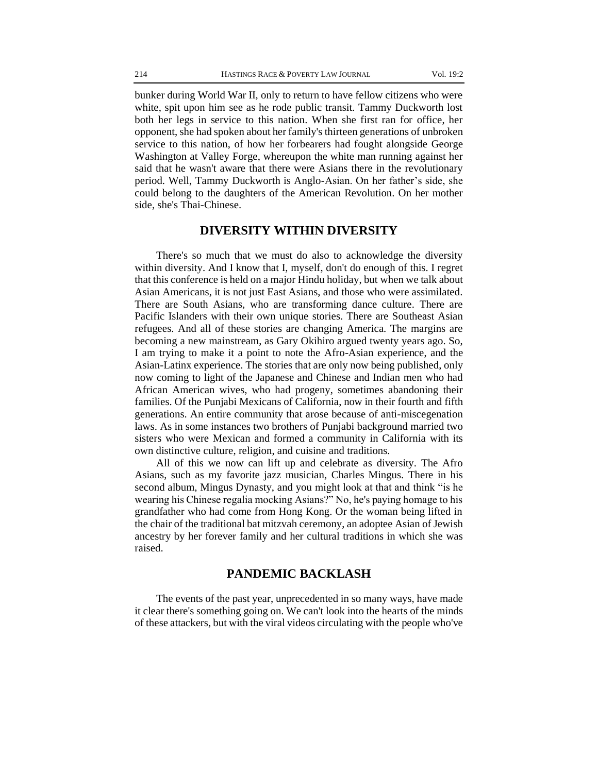bunker during World War II, only to return to have fellow citizens who were white, spit upon him see as he rode public transit. Tammy Duckworth lost both her legs in service to this nation. When she first ran for office, her opponent, she had spoken about her family's thirteen generations of unbroken service to this nation, of how her forbearers had fought alongside George Washington at Valley Forge, whereupon the white man running against her said that he wasn't aware that there were Asians there in the revolutionary period. Well, Tammy Duckworth is Anglo-Asian. On her father's side, she could belong to the daughters of the American Revolution. On her mother side, she's Thai-Chinese.

#### **DIVERSITY WITHIN DIVERSITY**

There's so much that we must do also to acknowledge the diversity within diversity. And I know that I, myself, don't do enough of this. I regret that this conference is held on a major Hindu holiday, but when we talk about Asian Americans, it is not just East Asians, and those who were assimilated. There are South Asians, who are transforming dance culture. There are Pacific Islanders with their own unique stories. There are Southeast Asian refugees. And all of these stories are changing America. The margins are becoming a new mainstream, as Gary Okihiro argued twenty years ago. So, I am trying to make it a point to note the Afro-Asian experience, and the Asian-Latinx experience. The stories that are only now being published, only now coming to light of the Japanese and Chinese and Indian men who had African American wives, who had progeny, sometimes abandoning their families. Of the Punjabi Mexicans of California, now in their fourth and fifth generations. An entire community that arose because of anti-miscegenation laws. As in some instances two brothers of Punjabi background married two sisters who were Mexican and formed a community in California with its own distinctive culture, religion, and cuisine and traditions.

All of this we now can lift up and celebrate as diversity. The Afro Asians, such as my favorite jazz musician, Charles Mingus. There in his second album, Mingus Dynasty, and you might look at that and think "is he wearing his Chinese regalia mocking Asians?" No, he's paying homage to his grandfather who had come from Hong Kong. Or the woman being lifted in the chair of the traditional bat mitzvah ceremony, an adoptee Asian of Jewish ancestry by her forever family and her cultural traditions in which she was raised.

#### **PANDEMIC BACKLASH**

The events of the past year, unprecedented in so many ways, have made it clear there's something going on. We can't look into the hearts of the minds of these attackers, but with the viral videos circulating with the people who've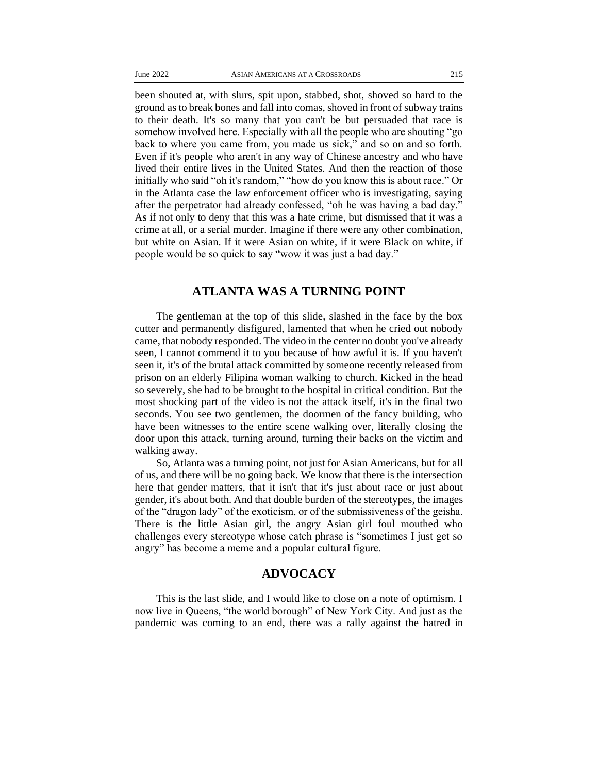been shouted at, with slurs, spit upon, stabbed, shot, shoved so hard to the ground as to break bones and fall into comas, shoved in front of subway trains to their death. It's so many that you can't be but persuaded that race is somehow involved here. Especially with all the people who are shouting "go back to where you came from, you made us sick," and so on and so forth. Even if it's people who aren't in any way of Chinese ancestry and who have lived their entire lives in the United States. And then the reaction of those initially who said "oh it's random," "how do you know this is about race." Or in the Atlanta case the law enforcement officer who is investigating, saying after the perpetrator had already confessed, "oh he was having a bad day." As if not only to deny that this was a hate crime, but dismissed that it was a crime at all, or a serial murder. Imagine if there were any other combination, but white on Asian. If it were Asian on white, if it were Black on white, if people would be so quick to say "wow it was just a bad day."

## **ATLANTA WAS A TURNING POINT**

The gentleman at the top of this slide, slashed in the face by the box cutter and permanently disfigured, lamented that when he cried out nobody came, that nobody responded. The video in the center no doubt you've already seen, I cannot commend it to you because of how awful it is. If you haven't seen it, it's of the brutal attack committed by someone recently released from prison on an elderly Filipina woman walking to church. Kicked in the head so severely, she had to be brought to the hospital in critical condition. But the most shocking part of the video is not the attack itself, it's in the final two seconds. You see two gentlemen, the doormen of the fancy building, who have been witnesses to the entire scene walking over, literally closing the door upon this attack, turning around, turning their backs on the victim and walking away.

So, Atlanta was a turning point, not just for Asian Americans, but for all of us, and there will be no going back. We know that there is the intersection here that gender matters, that it isn't that it's just about race or just about gender, it's about both. And that double burden of the stereotypes, the images of the "dragon lady" of the exoticism, or of the submissiveness of the geisha. There is the little Asian girl, the angry Asian girl foul mouthed who challenges every stereotype whose catch phrase is "sometimes I just get so angry" has become a meme and a popular cultural figure.

### **ADVOCACY**

This is the last slide, and I would like to close on a note of optimism. I now live in Queens, "the world borough" of New York City. And just as the pandemic was coming to an end, there was a rally against the hatred in